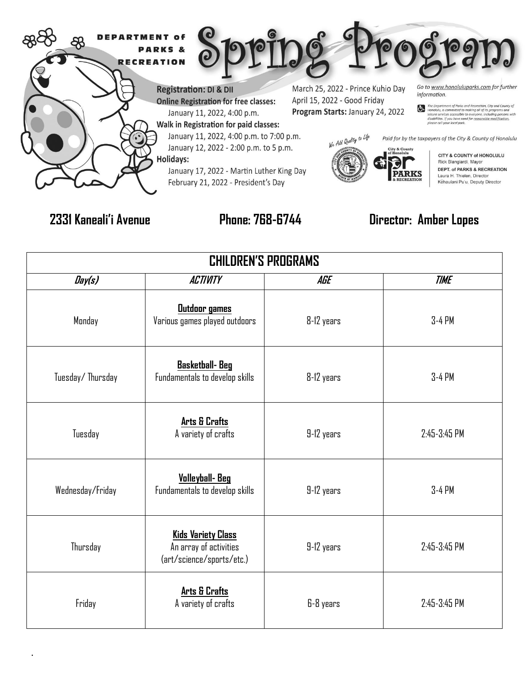

.

## **2331 Kaneali'i Avenue Phone: 768-6744 Director: Amber Lopes**

| <b>CHILDREN'S PROGRAMS</b> |                                                                                  |            |              |  |  |
|----------------------------|----------------------------------------------------------------------------------|------------|--------------|--|--|
| Day(s)                     | <b>ACTIVITY</b>                                                                  | AGE        | <b>TIME</b>  |  |  |
| Monday                     | <b>Outdoor</b> games<br>Various games played outdoors                            | 8-12 years | 3-4 PM       |  |  |
| Tuesday/Thursday           | <b>Basketball-Beg</b><br>Fundamentals to develop skills                          | 8-12 years | 3-4 PM       |  |  |
| Tuesday                    | <b>Arts &amp; Crafts</b><br>A variety of crafts                                  | 9-12 years | 2:45-3:45 PM |  |  |
| Wednesday/Friday           | <b>Volleyball-Beg</b><br>Fundamentals to develop skills                          | 9-12 years | 3-4 PM       |  |  |
| Thursday                   | <b>Kids Variety Class</b><br>An array of activities<br>(art/science/sports/etc.) | 9-12 years | 2:45-3:45 PM |  |  |
| Friday                     | <b>Arts &amp; Crafts</b><br>A variety of crafts                                  | 6-8 years  | 2:45-3:45 PM |  |  |